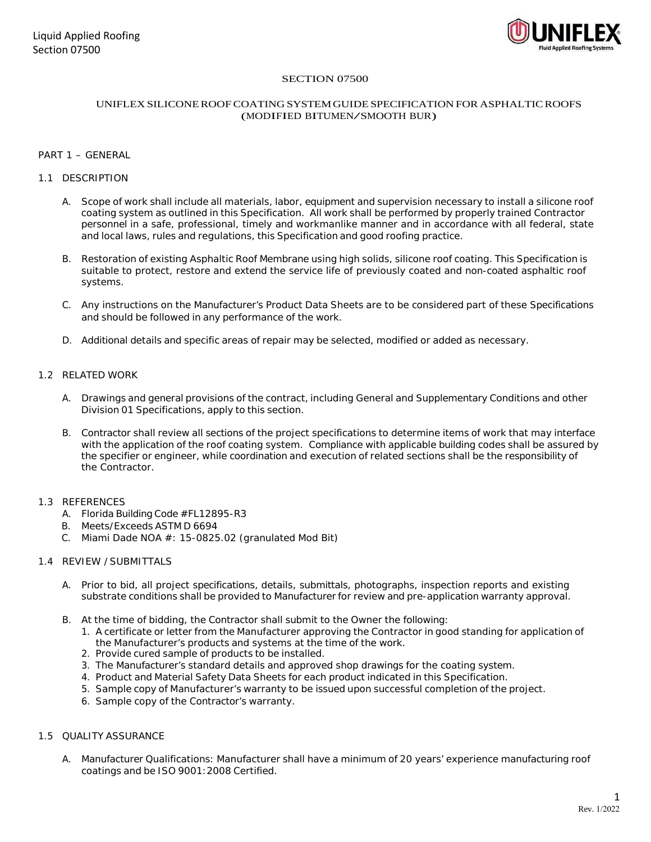

#### SECTION 07500

#### UNIFLEX SILICONE ROOF COATING SYSTEM GUIDE SPECIFICATION FOR ASPHALTIC ROOFS (MODIFIED BITUMEN/SMOOTH BUR)

#### PART 1 – GENERAL

### 1.1 DESCRIPTION

- A. Scope of work shall include all materials, labor, equipment and supervision necessary to install a silicone roof coating system as outlined in this Specification. All work shall be performed by properly trained Contractor personnel in a safe, professional, timely and workmanlike manner and in accordance with all federal, state and local laws, rules and regulations, this Specification and good roofing practice.
- B. Restoration of existing Asphaltic Roof Membrane using high solids, silicone roof coating. This Specification is suitable to protect, restore and extend the service life of previously coated and non-coated asphaltic roof systems.
- C. Any instructions on the Manufacturer's Product Data Sheets are to be considered part of these Specifications and should be followed in any performance of the work.
- D. Additional details and specific areas of repair may be selected, modified or added as necessary.

### 1.2 RELATED WORK

- A. Drawings and general provisions of the contract, including General and Supplementary Conditions and other Division 01 Specifications, apply to this section.
- B. Contractor shall review all sections of the project specifications to determine items of work that may interface with the application of the roof coating system. Compliance with applicable building codes shall be assured by the specifier or engineer, while coordination and execution of related sections shall be the responsibility of the Contractor.

#### 1.3 REFERENCES

- A. Florida Building Code #FL12895-R3
- B. Meets/Exceeds ASTM D 6694
- C. Miami Dade NOA #: 15-0825.02 (granulated Mod Bit)

#### 1.4 REVIEW /SUBMITTALS

- A. Prior to bid, all project specifications, details, submittals, photographs, inspection reports and existing substrate conditions shall be provided to Manufacturer for review and pre-application warranty approval.
- B. At the time of bidding, the Contractor shall submit to the Owner the following:
	- 1. A certificate or letter from the Manufacturer approving the Contractor in good standing for application of the Manufacturer's products and systems at the time of the work.
	- 2. Provide cured sample of products to be installed.
	- 3. The Manufacturer's standard details and approved shop drawings for the coating system.
	- 4. Product and Material Safety Data Sheets for each product indicated in this Specification.
	- 5. Sample copy of Manufacturer's warranty to be issued upon successful completion of the project.
	- 6. Sample copy of the Contractor's warranty.

#### 1.5 QUALITY ASSURANCE

A. Manufacturer Qualifications: Manufacturer shall have a minimum of 20 years' experience manufacturing roof coatings and be ISO 9001:2008 Certified.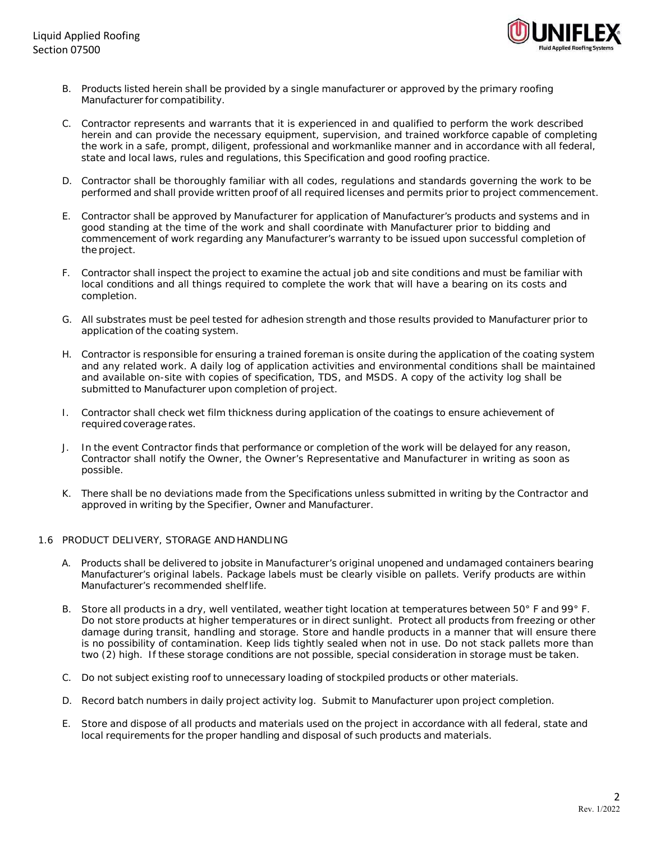

- B. Products listed herein shall be provided by a single manufacturer or approved by the primary roofing Manufacturer for compatibility.
- C. Contractor represents and warrants that it is experienced in and qualified to perform the work described herein and can provide the necessary equipment, supervision, and trained workforce capable of completing the work in a safe, prompt, diligent, professional and workmanlike manner and in accordance with all federal, state and local laws, rules and regulations, this Specification and good roofing practice.
- D. Contractor shall be thoroughly familiar with all codes, regulations and standards governing the work to be performed and shall provide written proof of all required licenses and permits prior to project commencement.
- E. Contractor shall be approved by Manufacturer for application of Manufacturer's products and systems and in good standing at the time of the work and shall coordinate with Manufacturer prior to bidding and commencement of work regarding any Manufacturer's warranty to be issued upon successful completion of the project.
- F. Contractor shall inspect the project to examine the actual job and site conditions and must be familiar with local conditions and all things required to complete the work that will have a bearing on its costs and completion.
- G. All substrates must be peel tested for adhesion strength and those results provided to Manufacturer prior to application of the coating system.
- H. Contractor is responsible for ensuring a trained foreman is onsite during the application of the coating system and any related work. A daily log of application activities and environmental conditions shall be maintained and available on-site with copies of specification, TDS, and MSDS. A copy of the activity log shall be submitted to Manufacturer upon completion of project.
- I. Contractor shall check wet film thickness during application of the coatings to ensure achievement of required coverage rates.
- J. In the event Contractor finds that performance or completion of the work will be delayed for any reason, Contractor shall notify the Owner, the Owner's Representative and Manufacturer in writing as soon as possible.
- K. There shall be no deviations made from the Specifications unless submitted in writing by the Contractor and approved in writing by the Specifier, Owner and Manufacturer.

### 1.6 PRODUCT DELIVERY, STORAGE ANDHANDLING

- A. Products shall be delivered to jobsite in Manufacturer's original unopened and undamaged containers bearing Manufacturer's original labels. Package labels must be clearly visible on pallets. Verify products are within Manufacturer's recommended shelflife.
- B. Store all products in a dry, well ventilated, weather tight location at temperatures between 50° F and 99° F. Do not store products at higher temperatures or in direct sunlight. Protect all products from freezing or other damage during transit, handling and storage. Store and handle products in a manner that will ensure there is no possibility of contamination. Keep lids tightly sealed when not in use. Do not stack pallets more than two (2) high. If these storage conditions are not possible, special consideration in storage must be taken.
- C. Do not subject existing roof to unnecessary loading of stockpiled products or other materials.
- D. Record batch numbers in daily project activity log. Submit to Manufacturer upon project completion.
- E. Store and dispose of all products and materials used on the project in accordance with all federal, state and local requirements for the proper handling and disposal of such products and materials.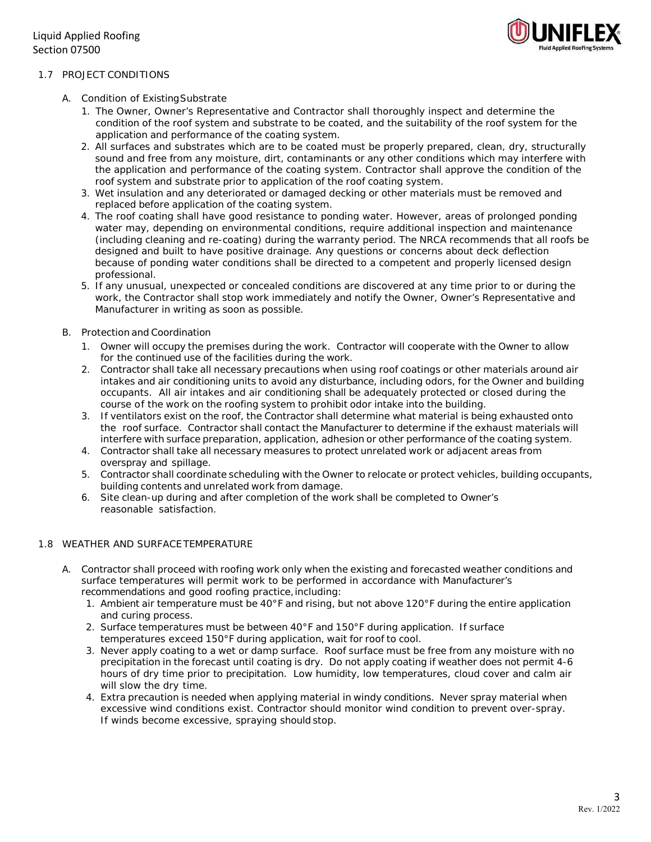

## 1.7 PROJECT CONDITIONS

- A. Condition of ExistingSubstrate
	- 1. The Owner, Owner's Representative and Contractor shall thoroughly inspect and determine the condition of the roof system and substrate to be coated, and the suitability of the roof system for the application and performance of the coating system.
	- 2. All surfaces and substrates which are to be coated must be properly prepared, clean, dry, structurally sound and free from any moisture, dirt, contaminants or any other conditions which may interfere with the application and performance of the coating system. Contractor shall approve the condition of the roof system and substrate prior to application of the roof coating system.
	- 3. Wet insulation and any deteriorated or damaged decking or other materials must be removed and replaced before application of the coating system.
	- 4. The roof coating shall have good resistance to ponding water. However, areas of prolonged ponding water may, depending on environmental conditions, require additional inspection and maintenance (including cleaning and re-coating) during the warranty period. The NRCA recommends that all roofs be designed and built to have positive drainage. Any questions or concerns about deck deflection because of ponding water conditions shall be directed to a competent and properly licensed design professional.
	- 5. If any unusual, unexpected or concealed conditions are discovered at any time prior to or during the work, the Contractor shall stop work immediately and notify the Owner, Owner's Representative and Manufacturer in writing as soon as possible.
- B. Protection and Coordination
	- 1. Owner will occupy the premises during the work. Contractor will cooperate with the Owner to allow for the continued use of the facilities during the work.
	- 2. Contractor shall take all necessary precautions when using roof coatings or other materials around air intakes and air conditioning units to avoid any disturbance, including odors, for the Owner and building occupants. All air intakes and air conditioning shall be adequately protected or closed during the course of the work on the roofing system to prohibit odor intake into the building.
	- 3. If ventilators exist on the roof, the Contractor shall determine what material is being exhausted onto the roof surface. Contractor shall contact the Manufacturer to determine if the exhaust materials will interfere with surface preparation, application, adhesion or other performance of the coating system.
	- 4. Contractor shall take all necessary measures to protect unrelated work or adjacent areas from overspray and spillage.
	- 5. Contractor shall coordinate scheduling with the Owner to relocate or protect vehicles, building occupants, building contents and unrelated work from damage.
	- 6. Site clean-up during and after completion of the work shall be completed to Owner's reasonable satisfaction.

## 1.8 WEATHER AND SURFACETEMPERATURE

- A. Contractor shall proceed with roofing work only when the existing and forecasted weather conditions and surface temperatures will permit work to be performed in accordance with Manufacturer's recommendations and good roofing practice, including:
	- 1. Ambient air temperature must be 40°F and rising, but not above 120°F during the entire application and curing process.
	- 2. Surface temperatures must be between 40°F and 150°F during application. If surface temperatures exceed 150°F during application, wait for roof to cool.
	- 3. Never apply coating to a wet or damp surface. Roof surface must be free from any moisture with no precipitation in the forecast until coating is dry. Do not apply coating if weather does not permit 4-6 hours of dry time prior to precipitation. Low humidity, low temperatures, cloud cover and calm air will slow the dry time.
	- 4. Extra precaution is needed when applying material in windy conditions. Never spray material when excessive wind conditions exist. Contractor should monitor wind condition to prevent over-spray. If winds become excessive, spraying should stop.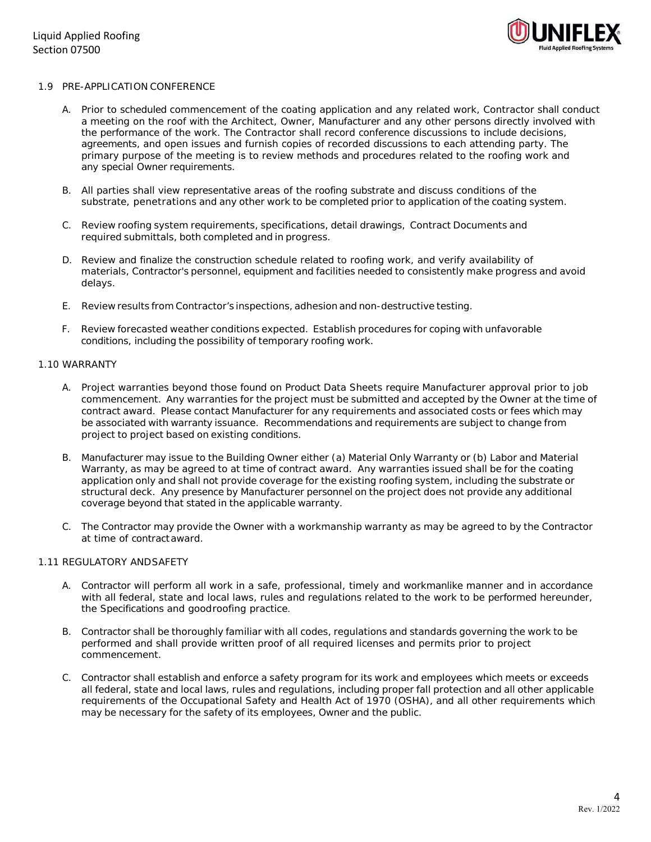

### 1.9 PRE-APPLICATION CONFERENCE

- A. Prior to scheduled commencement of the coating application and any related work, Contractor shall conduct a meeting on the roof with the Architect, Owner, Manufacturer and any other persons directly involved with the performance of the work. The Contractor shall record conference discussions to include decisions, agreements, and open issues and furnish copies of recorded discussions to each attending party. The primary purpose of the meeting is to review methods and procedures related to the roofing work and any special Owner requirements.
- B. All parties shall view representative areas of the roofing substrate and discuss conditions of the substrate, penetrations and any other work to be completed prior to application of the coating system.
- C. Review roofing system requirements, specifications, detail drawings, Contract Documents and required submittals, both completed and in progress.
- D. Review and finalize the construction schedule related to roofing work, and verify availability of materials, Contractor's personnel, equipment and facilities needed to consistently make progress and avoid delays.
- E. Review results from Contractor's inspections, adhesion and non-destructive testing.
- F. Review forecasted weather conditions expected. Establish procedures for coping with unfavorable conditions, including the possibility of temporary roofing work.

#### 1.10 WARRANTY

- A. Project warranties beyond those found on Product Data Sheets require Manufacturer approval prior to job commencement. Any warranties for the project must be submitted and accepted by the Owner at the time of contract award. Please contact Manufacturer for any requirements and associated costs or fees which may be associated with warranty issuance. Recommendations and requirements are subject to change from project to project based on existing conditions.
- B. Manufacturer may issue to the Building Owner either (a) Material Only Warranty or (b) Labor and Material Warranty, as may be agreed to at time of contract award. Any warranties issued shall be for the coating application only and shall not provide coverage for the existing roofing system, including the substrate or structural deck. Any presence by Manufacturer personnel on the project does not provide any additional coverage beyond that stated in the applicable warranty.
- C. The Contractor may provide the Owner with a workmanship warranty as may be agreed to by the Contractor at time of contractaward.

### 1.11 REGULATORY ANDSAFETY

- A. Contractor will perform all work in a safe, professional, timely and workmanlike manner and in accordance with all federal, state and local laws, rules and regulations related to the work to be performed hereunder, the Specifications and goodroofing practice.
- B. Contractor shall be thoroughly familiar with all codes, regulations and standards governing the work to be performed and shall provide written proof of all required licenses and permits prior to project commencement.
- C. Contractor shall establish and enforce a safety program for its work and employees which meets or exceeds all federal, state and local laws, rules and regulations, including proper fall protection and all other applicable requirements of the Occupational Safety and Health Act of 1970 (OSHA), and all other requirements which may be necessary for the safety of its employees, Owner and the public.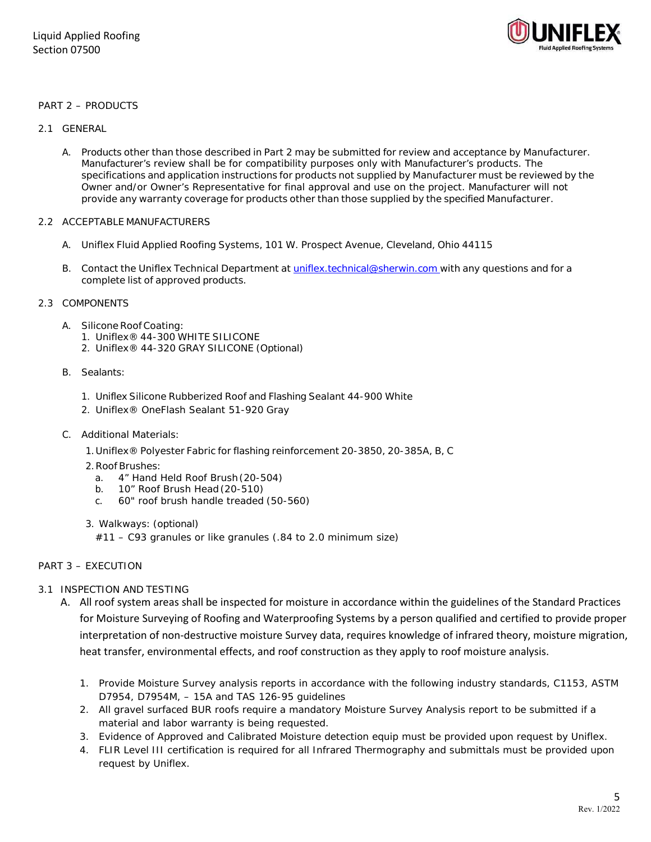

## PART 2 – PRODUCTS

### 2.1 GENERAL

A. Products other than those described in Part 2 may be submitted for review and acceptance by Manufacturer. Manufacturer's review shall be for compatibility purposes only with Manufacturer's products. The specifications and application instructions for products not supplied by Manufacturer must be reviewed by the Owner and/or Owner's Representative for final approval and use on the project. Manufacturer will not provide any warranty coverage for products other than those supplied by the specified Manufacturer.

### 2.2 ACCEPTABLE MANUFACTURERS

- A. Uniflex Fluid Applied Roofing Systems, 101 W. Prospect Avenue, Cleveland, Ohio 44115
- B. Contact the Uniflex Technical Department at *[uniflex.technical@sherwin.com](mailto:uniflex.technical@sherwin.com)* with any questions and for a complete list of approved products.

### 2.3 COMPONENTS

- A. Silicone RoofCoating:
	- 1. Uniflex® 44-300 WHITE SILICONE
	- 2. Uniflex® 44-320 GRAY SILICONE (Optional)
- B. Sealants:
	- 1. Uniflex Silicone Rubberized Roof and Flashing Sealant 44-900 White
	- 2. Uniflex® OneFlash Sealant 51-920 Gray
- C. Additional Materials:
	- 1.Uniflex® Polyester Fabric for flashing reinforcement 20-3850, 20-385A, B, C
	- 2.RoofBrushes:
		- a. 4" Hand Held Roof Brush(20-504)
		- b. 10" Roof Brush Head(20-510)
		- c. 60" roof brush handle treaded (50-560)
	- 3. Walkways: (optional)
		- #11 C93 granules or like granules (.84 to 2.0 minimum size)

## PART 3 – EXECUTION

## 3.1 INSPECTION AND TESTING

- A. All roof system areas shall be inspected for moisture in accordance within the guidelines of the Standard Practices for Moisture Surveying of Roofing and Waterproofing Systems by a person qualified and certified to provide proper interpretation of non-destructive moisture Survey data, requires knowledge of infrared theory, moisture migration, heat transfer, environmental effects, and roof construction as they apply to roof moisture analysis.
	- 1. Provide Moisture Survey analysis reports in accordance with the following industry standards, C1153, ASTM D7954, D7954M, – 15A and TAS 126-95 guidelines
	- 2. All *gravel surfaced* BUR roofs require a mandatory Moisture Survey Analysis report to be submitted if a material and labor warranty is being requested.
	- 3. Evidence of Approved and Calibrated Moisture detection equip must be provided upon request by Uniflex.
	- 4. FLIR Level III certification is required for all Infrared Thermography and submittals must be provided upon request by Uniflex.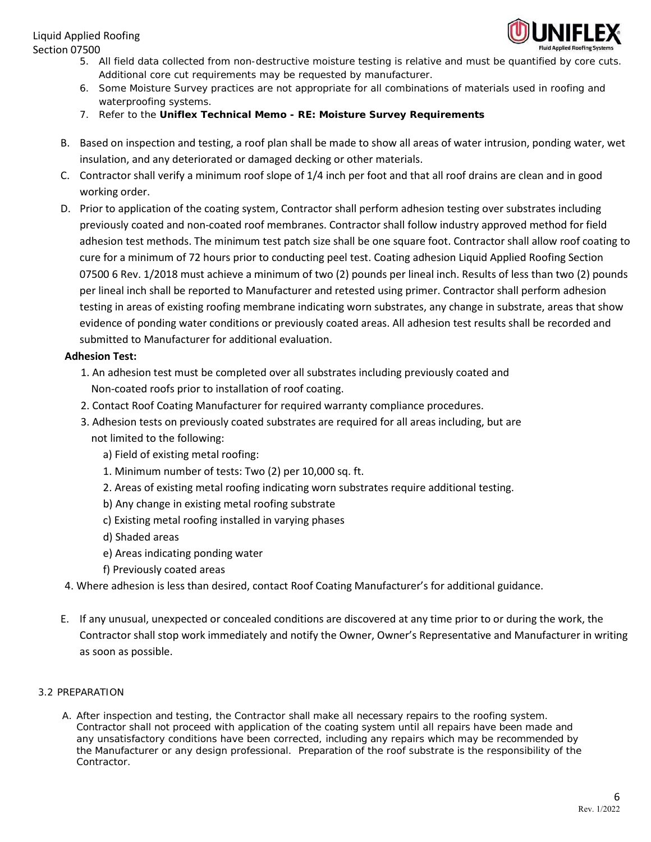

- 5. All field data collected from non-destructive moisture testing is relative and must be quantified by core cuts. Additional core cut requirements may be requested by manufacturer.
- 6. Some Moisture Survey practices are not appropriate for all combinations of materials used in roofing and waterproofing systems.
- 7. Refer to the **Uniflex Technical Memo - RE: Moisture Survey Requirements**
- B. Based on inspection and testing, a roof plan shall be made to show all areas of water intrusion, ponding water, wet insulation, and any deteriorated or damaged decking or other materials.
- C. Contractor shall verify a minimum roof slope of 1/4 inch per foot and that all roof drains are clean and in good working order.
- D. Prior to application of the coating system, Contractor shall perform adhesion testing over substrates including previously coated and non-coated roof membranes. Contractor shall follow industry approved method for field adhesion test methods. The minimum test patch size shall be one square foot. Contractor shall allow roof coating to cure for a minimum of 72 hours prior to conducting peel test. Coating adhesion Liquid Applied Roofing Section 07500 6 Rev. 1/2018 must achieve a minimum of two (2) pounds per lineal inch. Results of less than two (2) pounds per lineal inch shall be reported to Manufacturer and retested using primer. Contractor shall perform adhesion testing in areas of existing roofing membrane indicating worn substrates, any change in substrate, areas that show evidence of ponding water conditions or previously coated areas. All adhesion test results shall be recorded and submitted to Manufacturer for additional evaluation.

## **Adhesion Test:**

- 1. An adhesion test must be completed over all substrates including previously coated and Non-coated roofs prior to installation of roof coating.
- 2. Contact Roof Coating Manufacturer for required warranty compliance procedures.
- 3. Adhesion tests on previously coated substrates are required for all areas including, but are not limited to the following:
	- a) Field of existing metal roofing:
	- 1. Minimum number of tests: Two (2) per 10,000 sq. ft.
	- 2. Areas of existing metal roofing indicating worn substrates require additional testing.
	- b) Any change in existing metal roofing substrate
	- c) Existing metal roofing installed in varying phases
	- d) Shaded areas
	- e) Areas indicating ponding water
	- f) Previously coated areas
- 4. Where adhesion is less than desired, contact Roof Coating Manufacturer's for additional guidance.
- E. If any unusual, unexpected or concealed conditions are discovered at any time prior to or during the work, the Contractor shall stop work immediately and notify the Owner, Owner's Representative and Manufacturer in writing as soon as possible.

## 3.2 PREPARATION

A. After inspection and testing, the Contractor shall make all necessary repairs to the roofing system. Contractor shall not proceed with application of the coating system until all repairs have been made and any unsatisfactory conditions have been corrected, including any repairs which may be recommended by the Manufacturer or any design professional. Preparation of the roof substrate is the responsibility of the Contractor.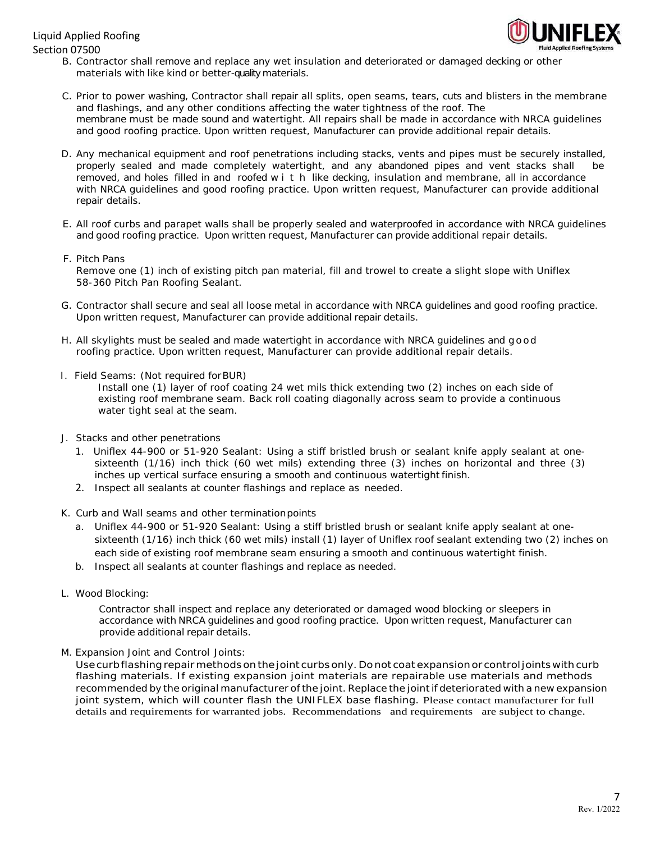

- B. Contractor shall remove and replace any wet insulation and deteriorated or damaged decking or other materials with like kind or better-quality materials.
- C. Prior to power washing, Contractor shall repair all splits, open seams, tears, cuts and blisters in the membrane and flashings, and any other conditions affecting the water tightness of the roof. The membrane must be made sound and watertight. All repairs shall be made in accordance with NRCA guidelines and good roofing practice. Upon written request, Manufacturer can provide additional repair details.
- D. Any mechanical equipment and roof penetrations including stacks, vents and pipes must be securely installed, properly sealed and made completely watertight, and any abandoned pipes and vent stacks shall be removed, and holes filled in and roofed w i t h like decking, insulation and membrane, all in accordance with NRCA guidelines and good roofing practice. Upon written request, Manufacturer can provide additional repair details.
- E. All roof curbs and parapet walls shall be properly sealed and waterproofed in accordance with NRCA guidelines and good roofing practice. Upon written request, Manufacturer can provide additional repair details.
- F. Pitch Pans

Remove one (1) inch of existing pitch pan material, fill and trowel to create a slight slope with Uniflex 58-360 Pitch Pan Roofing Sealant.

- G. Contractor shall secure and seal all loose metal in accordance with NRCA guidelines and good roofing practice. Upon written request, Manufacturer can provide additional repair details.
- H. All skylights must be sealed and made watertight in accordance with NRCA guidelines and good roofing practice. Upon written request, Manufacturer can provide additional repair details.
- I. Field Seams: (Not required forBUR) Install one (1) layer of roof coating 24 wet mils thick extending two (2) inches on each side of existing roof membrane seam. Back roll coating diagonally across seam to provide a continuous water tight seal at the seam.
- J. Stacks and other penetrations
	- 1. Uniflex 44-900 or 51-920 Sealant: Using a stiff bristled brush or sealant knife apply sealant at onesixteenth (1/16) inch thick (60 wet mils) extending three (3) inches on horizontal and three (3) inches up vertical surface ensuring a smooth and continuous watertight finish.
	- 2. Inspect all sealants at counter flashings and replace as needed.
- K. Curb and Wall seams and other terminationpoints
	- a. Uniflex 44-900 or 51-920 Sealant: Using a stiff bristled brush or sealant knife apply sealant at onesixteenth (1/16) inch thick (60 wet mils) install (1) layer of Uniflex roof sealant extending two (2) inches on each side of existing roof membrane seam ensuring a smooth and continuous watertight finish.
	- b. Inspect all sealants at counter flashings and replace as needed.
- L. Wood Blocking:

Contractor shall inspect and replace any deteriorated or damaged wood blocking or sleepers in accordance with NRCA guidelines and good roofing practice. Upon written request, Manufacturer can provide additional repair details.

M. Expansion Joint and Control Joints:

Usecurbflashingrepairmethodsonthejoint curbsonly.Donot coat expansionor controljoints withcurb flashing materials. If existing expansion joint materials are repairable use materials and methods recommended by the original manufacturer of the joint. Replace the joint if deteriorated with a new expansion joint system, which will counter flash the UNIFLEX base flashing. Please contact manufacturer for full details and requirements for warranted jobs. Recommendations and requirements are subject to change.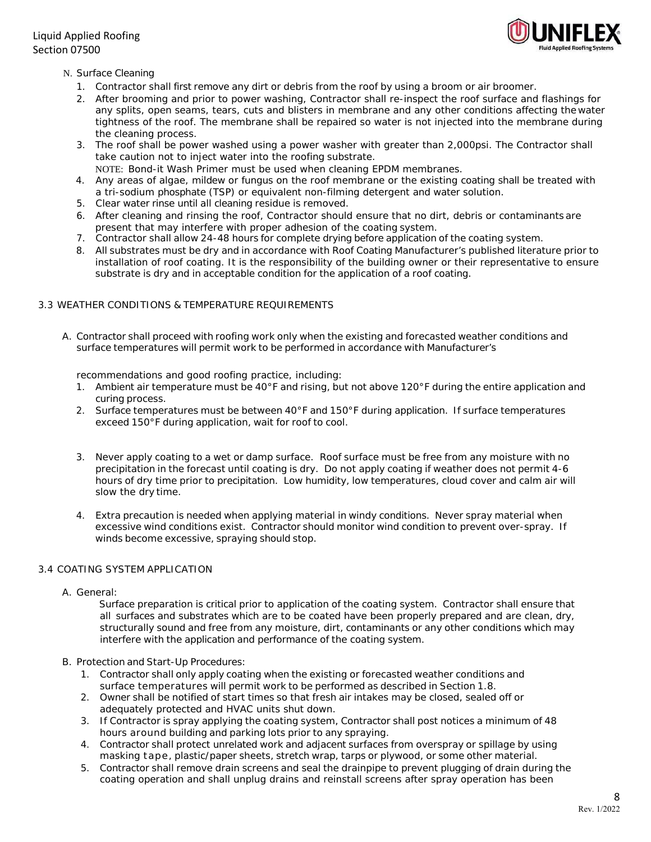

## N. Surface Cleaning

- 1. Contractor shall first remove any dirt or debris from the roof by using a broom or air broomer.
- 2. After brooming and prior to power washing, Contractor shall re-inspect the roof surface and flashings for any splits, open seams, tears, cuts and blisters in membrane and any other conditions affecting the water tightness of the roof. The membrane shall be repaired so water is not injected into the membrane during the cleaning process.
- 3. The roof shall be power washed using a power washer with greater than 2,000psi. The Contractor shall take caution not to inject water into the roofing substrate.
	- NOTE: Bond-it Wash Primer must be used when cleaning EPDM membranes.
- 4. Any areas of algae, mildew or fungus on the roof membrane or the existing coating shall be treated with a tri-sodium phosphate (TSP) or equivalent non-filming detergent and water solution.
- 5. Clear water rinse until all cleaning residue is removed.
- 6. After cleaning and rinsing the roof, Contractor should ensure that no dirt, debris or contaminants are present that may interfere with proper adhesion of the coating system.
- 7. Contractor shall allow 24-48 hours for complete drying before application of the coating system.
- 8. All substrates must be dry and in accordance with Roof Coating Manufacturer's published literature prior to installation of roof coating. It is the responsibility of the building owner or their representative to ensure substrate is dry and in acceptable condition for the application of a roof coating.

## 3.3 WEATHER CONDITIONS & TEMPERATURE REQUIREMENTS

A. Contractor shall proceed with roofing work only when the existing and forecasted weather conditions and surface temperatures will permit work to be performed in accordance with Manufacturer's

recommendations and good roofing practice, including:

- 1. Ambient air temperature must be 40°F and rising, but not above 120°F during the entire application and curing process.
- 2. Surface temperatures must be between 40°F and 150°F during application. If surface temperatures exceed 150°F during application, wait for roof to cool.
- 3. Never apply coating to a wet or damp surface. Roof surface must be free from any moisture with no precipitation in the forecast until coating is dry. Do not apply coating if weather does not permit 4-6 hours of dry time prior to precipitation. Low humidity, low temperatures, cloud cover and calm air will slow the dry time.
- 4. Extra precaution is needed when applying material in windy conditions. Never spray material when excessive wind conditions exist. Contractor should monitor wind condition to prevent over-spray. If winds become excessive, spraying should stop.

### 3.4 COATING SYSTEM APPLICATION

A. General:

Surface preparation is critical prior to application of the coating system. Contractor shall ensure that all surfaces and substrates which are to be coated have been properly prepared and are clean, dry, structurally sound and free from any moisture, dirt, contaminants or any other conditions which may interfere with the application and performance of the coating system.

- B. Protection and Start-Up Procedures:
	- 1. Contractor shall only apply coating when the existing or forecasted weather conditions and surface temperatures will permit work to be performed as described in Section 1.8.
	- 2. Owner shall be notified of start times so that fresh air intakes may be closed, sealed off or adequately protected and HVAC units shut down.
	- 3. If Contractor is spray applying the coating system, Contractor shall post notices a minimum of 48 hours around building and parking lots prior to any spraying.
	- 4. Contractor shall protect unrelated work and adjacent surfaces from overspray or spillage by using masking tape, plastic/paper sheets, stretch wrap, tarps or plywood, or some other material.
	- 5. Contractor shall remove drain screens and seal the drainpipe to prevent plugging of drain during the coating operation and shall unplug drains and reinstall screens after spray operation has been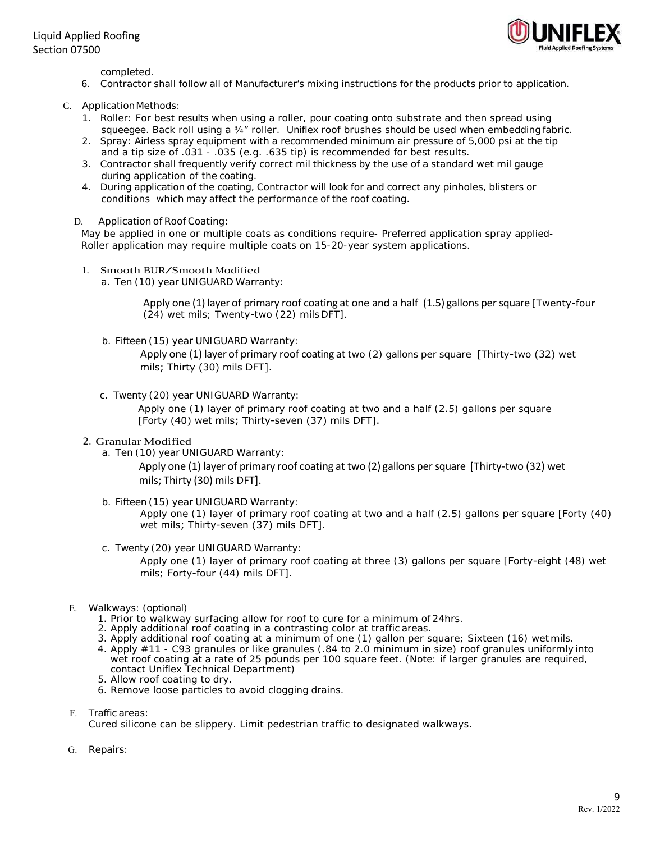

completed.

- 6. Contractor shall follow all of Manufacturer's mixing instructions for the products prior to application.
- C. ApplicationMethods:
	- 1. Roller: For best results when using a roller, pour coating onto substrate and then spread using squeegee. Back roll using a ¾" roller. Uniflex roof brushes should be used when embeddingfabric.
	- 2. Spray: Airless spray equipment with a recommended minimum air pressure of 5,000 psi at the tip and a tip size of .031 - .035 (e.g. .635 tip) is recommended for best results.
	- 3. Contractor shall frequently verify correct mil thickness by the use of a standard wet mil gauge during application of the coating.
	- 4. During application of the coating, Contractor will look for and correct any pinholes, blisters or conditions which may affect the performance of the roof coating.
	- D. Application of Roof Coating:

May be applied in one or multiple coats as conditions require- Preferred application spray applied-Roller application may require multiple coats on 15-20-year system applications.

- 1. Smooth BUR/Smooth Modified
	- a. Ten (10) year UNIGUARD Warranty:

Apply one (1) layer of primary roof coating at one and a half (1.5) gallons per square [Twenty-four (24) wet mils; Twenty-two (22) mils DFT].

b. Fifteen (15) year UNIGUARD Warranty:

Apply one (1) layer of primary roof coating at two (2) gallons per square [Thirty-two (32) wet mils; Thirty (30) mils DFT].

c. Twenty (20) year UNIGUARD Warranty:

Apply one (1) layer of primary roof coating at two and a half (2.5) gallons per square [Forty (40) wet mils; Thirty-seven (37) mils DFT].

- 2. Granular Modified
	- a. Ten (10) year UNIGUARD Warranty:

Apply one (1) layer of primary roof coating at two (2) gallons persquare [Thirty-two (32) wet mils; Thirty (30) mils DFT].

b. Fifteen (15) year UNIGUARD Warranty:

Apply one (1) layer of primary roof coating at two and a half (2.5) gallons per square [Forty (40) wet mils; Thirty-seven (37) mils DFT].

c. Twenty (20) year UNIGUARD Warranty:

Apply one (1) layer of primary roof coating at three (3) gallons per square [Forty-eight (48) wet mils; Forty-four (44) mils DFT].

- E. Walkways: (optional)
	- 1. Prior to walkway surfacing allow for roof to cure for a minimum of 24hrs.
	- 2. Apply additional roof coating in a contrasting color at traffic areas.
	- 3. Apply additional roof coating at a minimum of one (1) gallon per square; Sixteen (16) wet mils.
	- 4. Apply #11 C93 granules or like granules (.84 to 2.0 minimum in size) roof granules uniformly into wet roof coating at a rate of 25 pounds per 100 square feet. (Note: if larger granules are required, contact Uniflex Technical Department)
	- 5. Allow roof coating to dry.
	- 6. Remove loose particles to avoid clogging drains.
- F. Traffic areas:

Cured silicone can be slippery. Limit pedestrian traffic to designated walkways.

G. Repairs: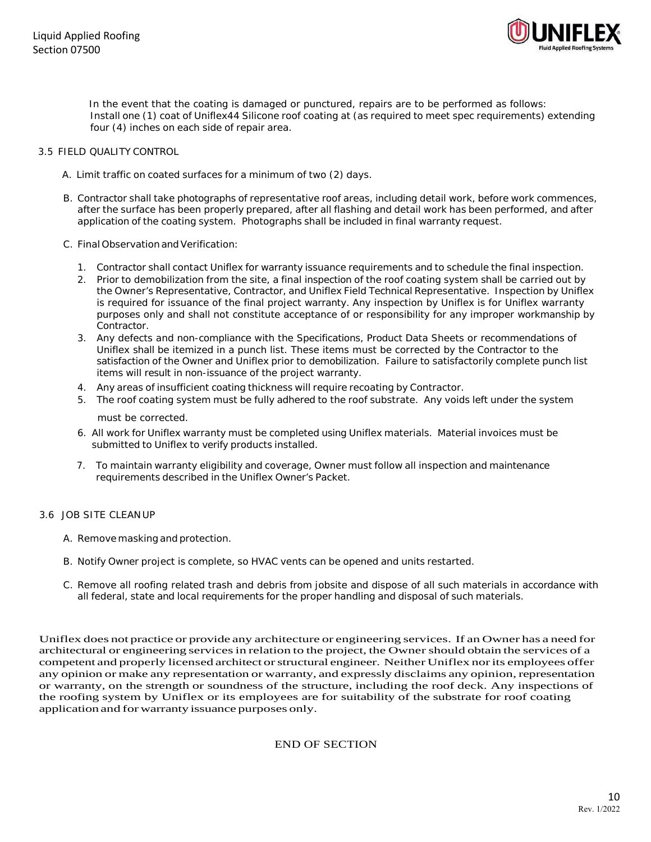

In the event that the coating is damaged or punctured, repairs are to be performed as follows: Install one (1) coat of Uniflex44 Silicone roof coating at (as required to meet spec requirements) extending four (4) inches on each side of repair area.

### 3.5 FIELD QUALITY CONTROL

- A. Limit traffic on coated surfaces for a minimum of two (2) days.
- B. Contractor shall take photographs of representative roof areas, including detail work, before work commences, after the surface has been properly prepared, after all flashing and detail work has been performed, and after application of the coating system. Photographs shall be included in final warranty request.
- C. Final Observation andVerification:
	- 1. Contractor shall contact Uniflex for warranty issuance requirements and to schedule the final inspection.
	- 2. Prior to demobilization from the site, a final inspection of the roof coating system shall be carried out by the Owner's Representative, Contractor, and Uniflex Field Technical Representative. Inspection by Uniflex is required for issuance of the final project warranty. Any inspection by Uniflex is for Uniflex warranty purposes only and shall not constitute acceptance of or responsibility for any improper workmanship by Contractor.
	- 3. Any defects and non-compliance with the Specifications, Product Data Sheets or recommendations of Uniflex shall be itemized in a punch list. These items must be corrected by the Contractor to the satisfaction of the Owner and Uniflex prior to demobilization. Failure to satisfactorily complete punch list items will result in non-issuance of the project warranty.
	- 4. Any areas of insufficient coating thickness will require recoating by Contractor.
	- 5. The roof coating system must be fully adhered to the roof substrate. Any voids left under the system must be corrected.
	- 6. All work for Uniflex warranty must be completed using Uniflex materials. Material invoices must be submitted to Uniflex to verify products installed.
	- 7. To maintain warranty eligibility and coverage, Owner must follow all inspection and maintenance requirements described in the Uniflex Owner's Packet.

## 3.6 JOB SITE CLEANUP

- A. Remove masking and protection.
- B. Notify Owner project is complete, so HVAC vents can be opened and units restarted.
- C. Remove all roofing related trash and debris from jobsite and dispose of all such materials in accordance with all federal, state and local requirements for the proper handling and disposal of such materials.

Uniflex does not practice or provide any architecture or engineering services. If an Owner has a need for architectural or engineering services in relation to the project, the Owner should obtain the services of a competent and properly licensed architect orstructural engineer. Neither Uniflex norits employees offer any opinion or make any representation or warranty, and expressly disclaims any opinion, representation or warranty, on the strength or soundness of the structure, including the roof deck. Any inspections of the roofing system by Uniflex or its employees are for suitability of the substrate for roof coating application and for warranty issuance purposes only.

### END OF SECTION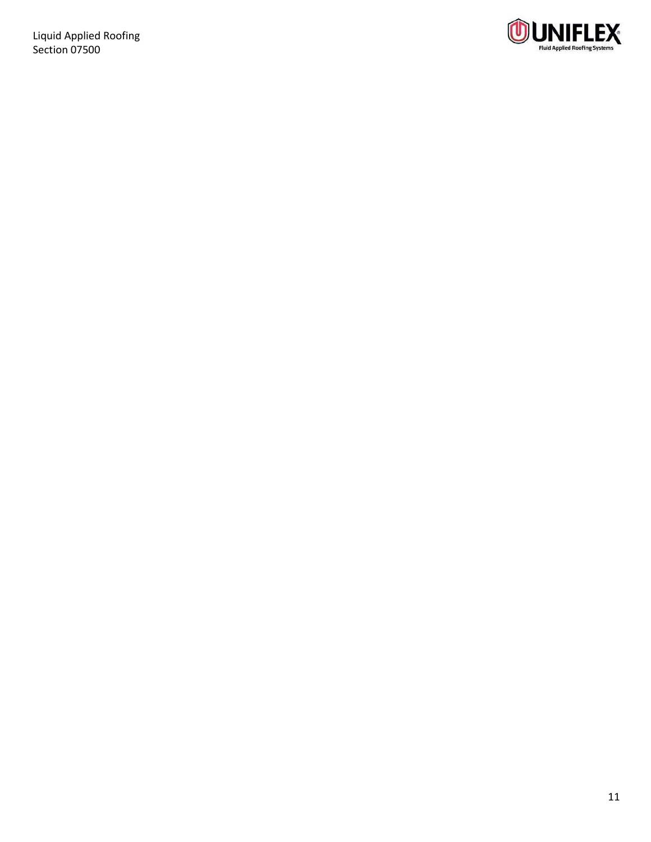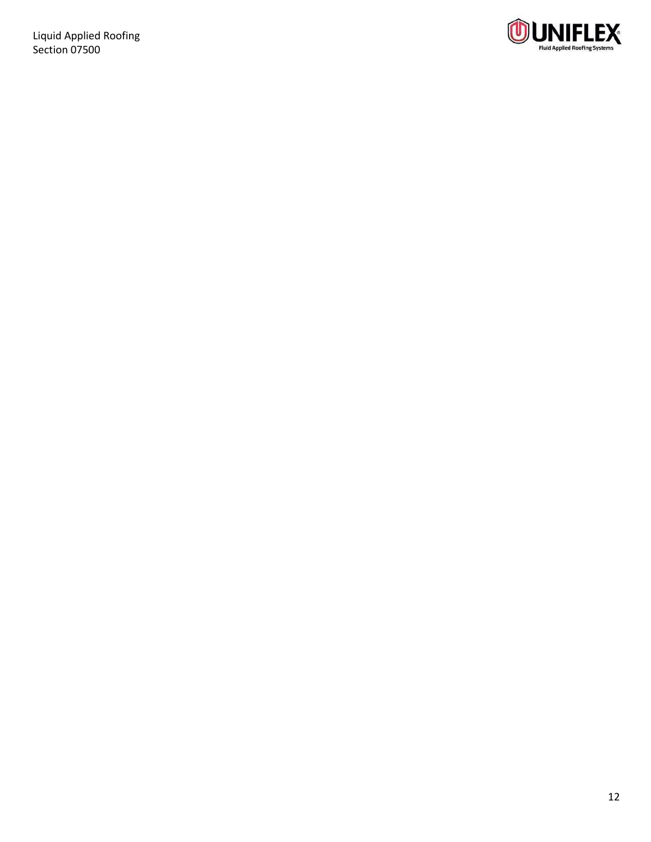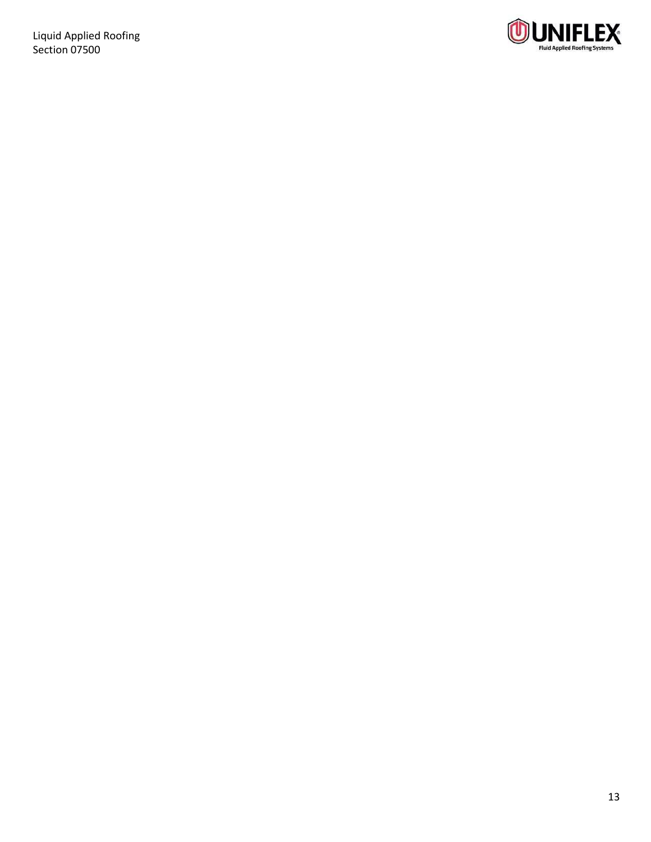